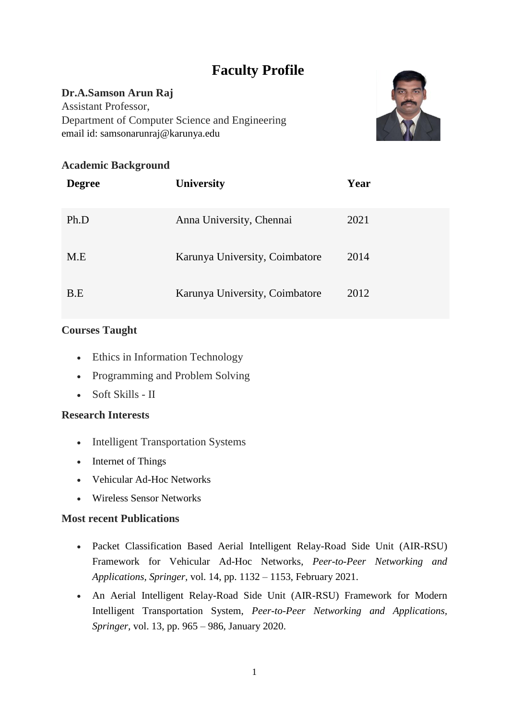# **Faculty Profile**

## **Dr.A.Samson Arun Raj**

Assistant Professor, Department of Computer Science and Engineering email id: samsonarunraj@karunya.edu



# **Academic Background**

| <b>Degree</b> | <b>University</b>              | Year |
|---------------|--------------------------------|------|
| Ph.D          | Anna University, Chennai       | 2021 |
| M.E           | Karunya University, Coimbatore | 2014 |
| B.E           | Karunya University, Coimbatore | 2012 |

# **Courses Taught**

- Ethics in Information Technology
- Programming and Problem Solving
- Soft Skills II

#### **Research Interests**

- Intelligent Transportation Systems
- Internet of Things
- Vehicular Ad-Hoc Networks
- Wireless Sensor Networks

#### **Most recent Publications**

- Packet Classification Based Aerial Intelligent Relay-Road Side Unit (AIR-RSU) Framework for Vehicular Ad-Hoc Networks, *Peer-to-Peer Networking and Applications, Springer,* vol. 14, pp. 1132 – 1153, February 2021.
- An Aerial Intelligent Relay-Road Side Unit (AIR-RSU) Framework for Modern Intelligent Transportation System, *Peer-to-Peer Networking and Applications, Springer,* vol. 13, pp. 965 – 986, January 2020.